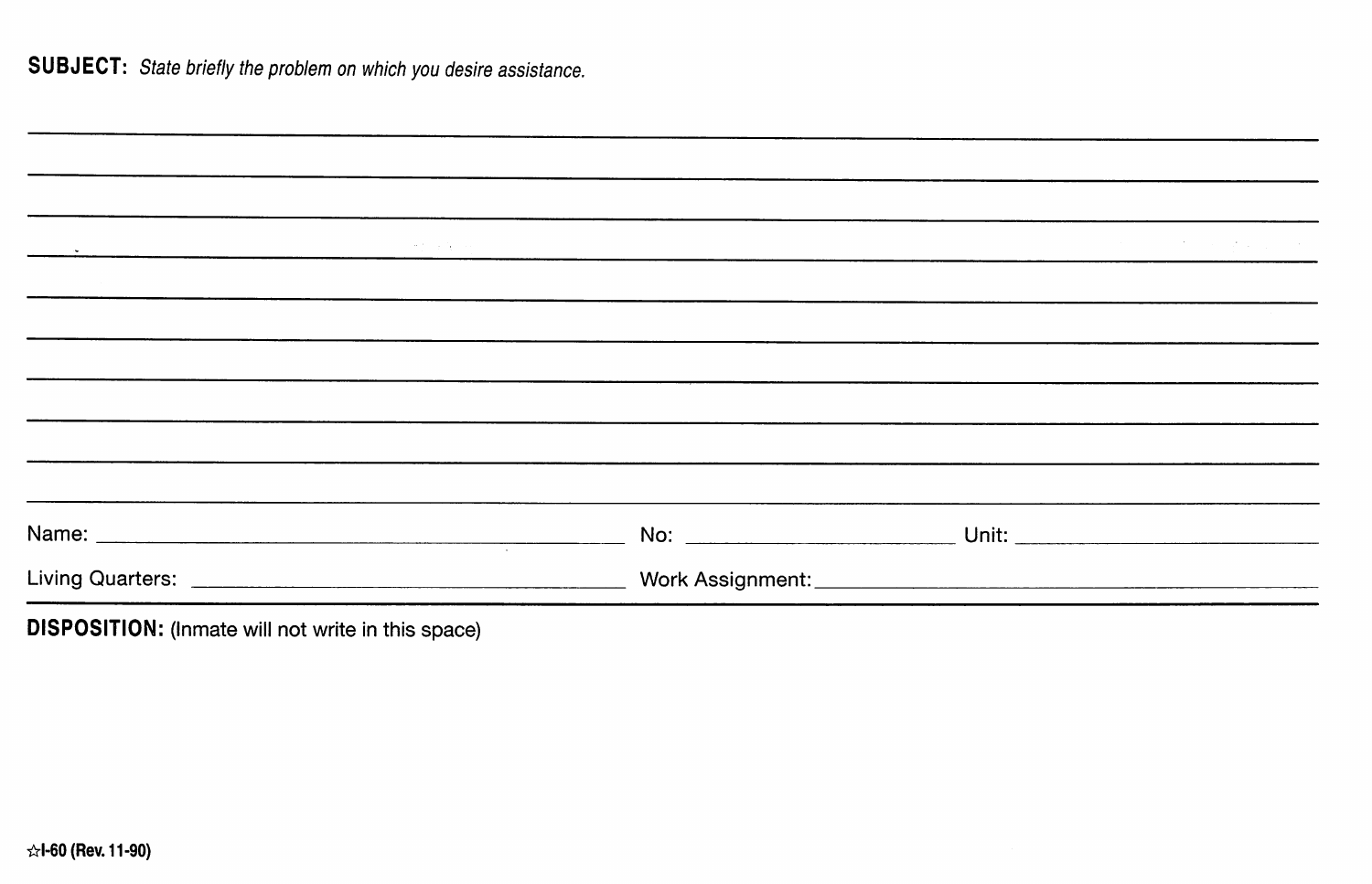| <u> 1990 - Jan James James, margaret amerikan (h. 1989).</u> |  |  | $\mathcal{L}^{\mathcal{L}}$ and the set of the set of the set of the set of the set of the set of $\mathcal{L}^{\mathcal{L}}$ |
|--------------------------------------------------------------|--|--|-------------------------------------------------------------------------------------------------------------------------------|
|                                                              |  |  |                                                                                                                               |
|                                                              |  |  |                                                                                                                               |
|                                                              |  |  |                                                                                                                               |
|                                                              |  |  | No: ___________________________________Unit: ___________________________________                                              |
|                                                              |  |  |                                                                                                                               |

**DISPOSITION:** (Inmate will not write in this space)